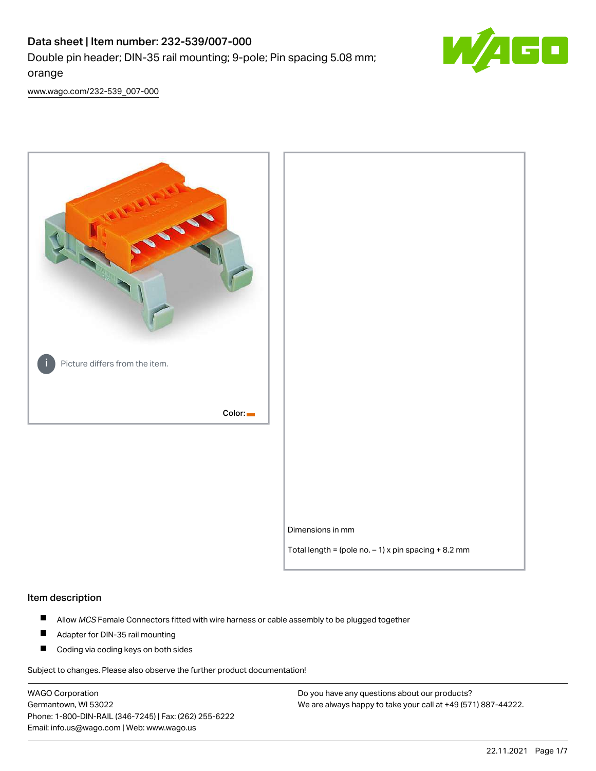# Data sheet | Item number: 232-539/007-000 Double pin header; DIN-35 rail mounting; 9-pole; Pin spacing 5.08 mm; orange



[www.wago.com/232-539\\_007-000](http://www.wago.com/232-539_007-000)



### Item description

- $\blacksquare$ Allow MCS Female Connectors fitted with wire harness or cable assembly to be plugged together
- $\blacksquare$ Adapter for DIN-35 rail mounting
- $\blacksquare$ Coding via coding keys on both sides

Subject to changes. Please also observe the further product documentation!

WAGO Corporation Germantown, WI 53022 Phone: 1-800-DIN-RAIL (346-7245) | Fax: (262) 255-6222 Email: info.us@wago.com | Web: www.wago.us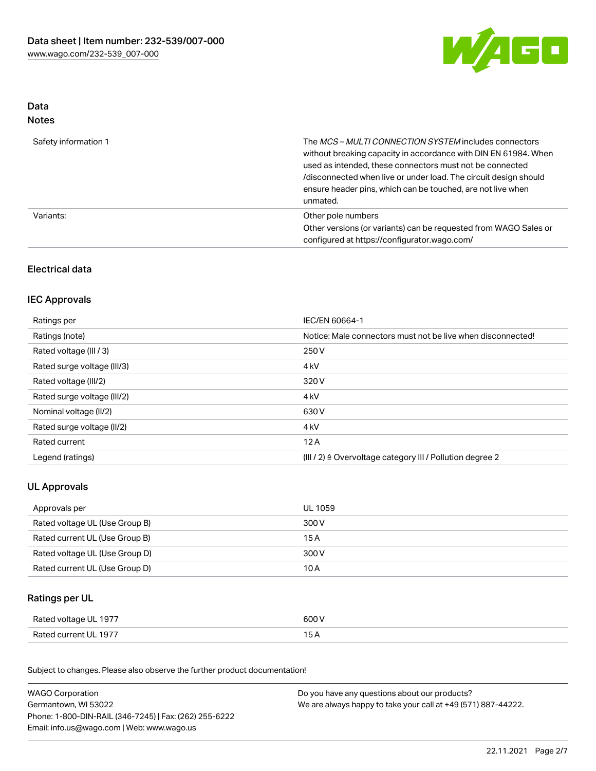

## Data Notes

| Safety information 1 | The <i>MCS – MULTI CONNECTION SYSTEM</i> includes connectors<br>without breaking capacity in accordance with DIN EN 61984. When<br>used as intended, these connectors must not be connected<br>/disconnected when live or under load. The circuit design should<br>ensure header pins, which can be touched, are not live when<br>unmated. |
|----------------------|--------------------------------------------------------------------------------------------------------------------------------------------------------------------------------------------------------------------------------------------------------------------------------------------------------------------------------------------|
| Variants:            | Other pole numbers<br>Other versions (or variants) can be requested from WAGO Sales or<br>configured at https://configurator.wago.com/                                                                                                                                                                                                     |

## Electrical data

## IEC Approvals

| Ratings per                 | IEC/EN 60664-1                                                        |
|-----------------------------|-----------------------------------------------------------------------|
| Ratings (note)              | Notice: Male connectors must not be live when disconnected!           |
| Rated voltage (III / 3)     | 250 V                                                                 |
| Rated surge voltage (III/3) | 4 <sub>k</sub> V                                                      |
| Rated voltage (III/2)       | 320 V                                                                 |
| Rated surge voltage (III/2) | 4 <sub>k</sub> V                                                      |
| Nominal voltage (II/2)      | 630 V                                                                 |
| Rated surge voltage (II/2)  | 4 <sub>k</sub> V                                                      |
| Rated current               | 12A                                                                   |
| Legend (ratings)            | $(III / 2)$ $\triangle$ Overvoltage category III / Pollution degree 2 |

## UL Approvals

| Approvals per                  | UL 1059 |
|--------------------------------|---------|
| Rated voltage UL (Use Group B) | 300 V   |
| Rated current UL (Use Group B) | 15 A    |
| Rated voltage UL (Use Group D) | 300 V   |
| Rated current UL (Use Group D) | 10 A    |

## Ratings per UL

| Rated voltage UL 1977 | 600 V |
|-----------------------|-------|
| Rated current UL 1977 |       |

Subject to changes. Please also observe the further product documentation!

| <b>WAGO Corporation</b>                                | Do you have any questions about our products?                 |  |
|--------------------------------------------------------|---------------------------------------------------------------|--|
| Germantown, WI 53022                                   | We are always happy to take your call at +49 (571) 887-44222. |  |
| Phone: 1-800-DIN-RAIL (346-7245)   Fax: (262) 255-6222 |                                                               |  |
| Email: info.us@wago.com   Web: www.wago.us             |                                                               |  |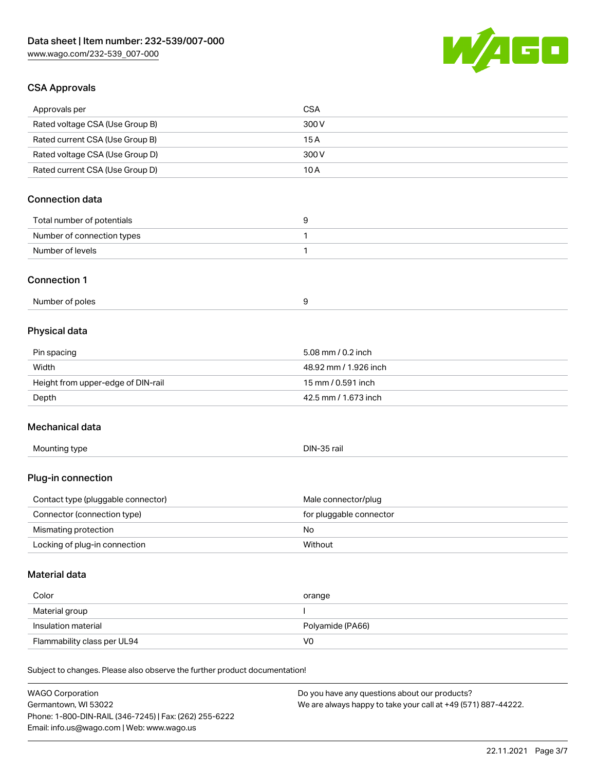

## CSA Approvals

| Approvals per                                                              | <b>CSA</b>                                    |  |
|----------------------------------------------------------------------------|-----------------------------------------------|--|
| Rated voltage CSA (Use Group B)                                            | 300V                                          |  |
| Rated current CSA (Use Group B)                                            | 15A                                           |  |
| Rated voltage CSA (Use Group D)                                            | 300 V                                         |  |
| Rated current CSA (Use Group D)                                            | 10A                                           |  |
| <b>Connection data</b>                                                     |                                               |  |
| Total number of potentials                                                 | 9                                             |  |
| Number of connection types                                                 | $\mathbf{1}$                                  |  |
| Number of levels                                                           | $\mathbf{1}$                                  |  |
| <b>Connection 1</b>                                                        |                                               |  |
| Number of poles                                                            | 9                                             |  |
| Physical data                                                              |                                               |  |
| Pin spacing                                                                | 5.08 mm / 0.2 inch                            |  |
| Width                                                                      | 48.92 mm / 1.926 inch                         |  |
| Height from upper-edge of DIN-rail                                         | 15 mm / 0.591 inch                            |  |
| Depth                                                                      | 42.5 mm / 1.673 inch                          |  |
| Mechanical data                                                            |                                               |  |
| Mounting type                                                              | DIN-35 rail                                   |  |
| Plug-in connection                                                         |                                               |  |
| Contact type (pluggable connector)                                         | Male connector/plug                           |  |
| Connector (connection type)                                                | for pluggable connector                       |  |
| Mismating protection                                                       | No                                            |  |
| Locking of plug-in connection                                              | Without                                       |  |
| Material data                                                              |                                               |  |
| Color                                                                      | orange                                        |  |
| Material group                                                             | J.                                            |  |
| Insulation material                                                        | Polyamide (PA66)                              |  |
| Flammability class per UL94                                                | V <sub>0</sub>                                |  |
| Subject to changes. Please also observe the further product documentation! |                                               |  |
| WAGO Corporation                                                           | Do you have any questions about our products? |  |

WAGO Corporation Germantown, WI 53022 Phone: 1-800-DIN-RAIL (346-7245) | Fax: (262) 255-6222 Email: info.us@wago.com | Web: www.wago.us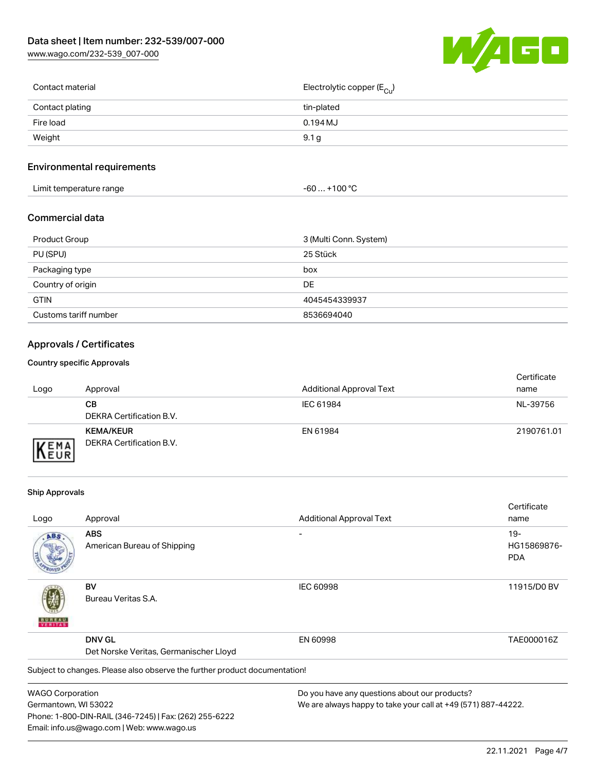[www.wago.com/232-539\\_007-000](http://www.wago.com/232-539_007-000)



| Contact material | Electrolytic copper (E <sub>Cu</sub> ) |
|------------------|----------------------------------------|
| Contact plating  | tin-plated                             |
| Fire load        | $0.194M$ J                             |
| Weight           | 9.1 <sub>g</sub>                       |
|                  |                                        |

## Environmental requirements

| Limit temperature range | ⊥+100 °ົ<br>-60 |
|-------------------------|-----------------|
|-------------------------|-----------------|

## Commercial data

| <b>Product Group</b>  | 3 (Multi Conn. System) |
|-----------------------|------------------------|
| PU (SPU)              | 25 Stück               |
| Packaging type        | box                    |
| Country of origin     | DE                     |
| <b>GTIN</b>           | 4045454339937          |
| Customs tariff number | 8536694040             |

## Approvals / Certificates

#### Country specific Approvals

| Logo                        | Approval                                     | <b>Additional Approval Text</b> | Certificate<br>name |
|-----------------------------|----------------------------------------------|---------------------------------|---------------------|
|                             | CВ<br>DEKRA Certification B.V.               | IEC 61984                       | NL-39756            |
| <b>VEMA</b><br><b>INEUR</b> | <b>KEMA/KEUR</b><br>DEKRA Certification B.V. | EN 61984                        | 2190761.01          |

#### Ship Approvals

Email: info.us@wago.com | Web: www.wago.us

|                         |                                                                            |                                                               | Certificate |
|-------------------------|----------------------------------------------------------------------------|---------------------------------------------------------------|-------------|
| Logo                    | Approval                                                                   | <b>Additional Approval Text</b>                               | name        |
| ABS                     | <b>ABS</b>                                                                 |                                                               | $19-$       |
|                         | American Bureau of Shipping                                                |                                                               | HG15869876- |
|                         |                                                                            |                                                               | <b>PDA</b>  |
|                         | BV                                                                         | <b>IEC 60998</b>                                              | 11915/D0 BV |
| VERITAS                 | Bureau Veritas S.A.                                                        |                                                               |             |
|                         | <b>DNV GL</b>                                                              | EN 60998                                                      | TAE000016Z  |
|                         | Det Norske Veritas, Germanischer Lloyd                                     |                                                               |             |
|                         | Subject to changes. Please also observe the further product documentation! |                                                               |             |
| <b>WAGO Corporation</b> |                                                                            | Do you have any questions about our products?                 |             |
| Germantown, WI 53022    |                                                                            | We are always happy to take your call at +49 (571) 887-44222. |             |
|                         | Phone: 1-800-DIN-RAIL (346-7245)   Fax: (262) 255-6222                     |                                                               |             |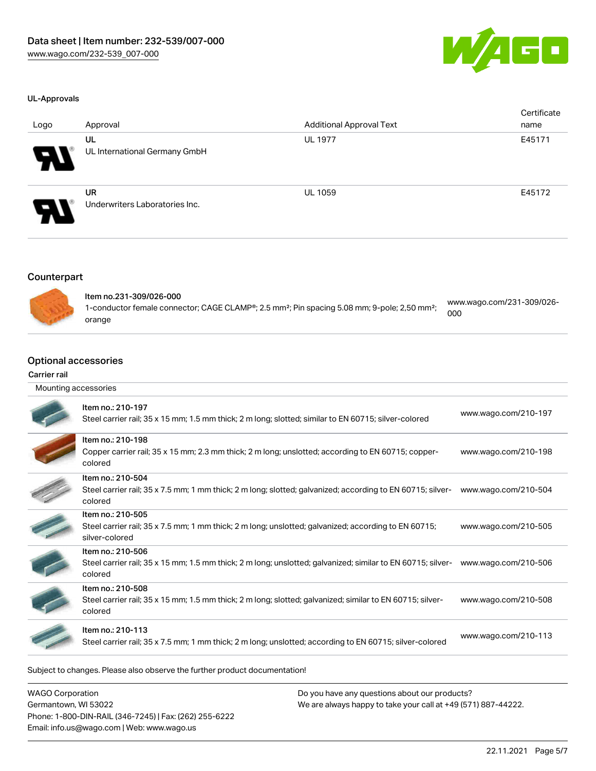

#### UL-Approvals

| Logo                       | Approval                             | <b>Additional Approval Text</b> | Certificate<br>name |
|----------------------------|--------------------------------------|---------------------------------|---------------------|
| 8.                         | UL<br>UL International Germany GmbH  | <b>UL 1977</b>                  | E45171              |
| $\boldsymbol{\mathcal{A}}$ | UR<br>Underwriters Laboratories Inc. | <b>UL 1059</b>                  | E45172              |

## Counterpart



| ltem no.231-309/026-000                                                                                              | www.wago.com/231-309/026- |
|----------------------------------------------------------------------------------------------------------------------|---------------------------|
| 1-conductor female connector; CAGE CLAMP®; 2.5 mm <sup>2</sup> ; Pin spacing 5.08 mm; 9-pole; 2,50 mm <sup>2</sup> ; | 000                       |
| orange                                                                                                               |                           |

### Optional accessories

#### Carrier rail

| Mounting accessories |                                                                                                                                                                  |                      |  |  |
|----------------------|------------------------------------------------------------------------------------------------------------------------------------------------------------------|----------------------|--|--|
|                      | Item no.: 210-197<br>Steel carrier rail; 35 x 15 mm; 1.5 mm thick; 2 m long; slotted; similar to EN 60715; silver-colored                                        | www.wago.com/210-197 |  |  |
|                      | Item no.: 210-198<br>Copper carrier rail; 35 x 15 mm; 2.3 mm thick; 2 m long; unslotted; according to EN 60715; copper-<br>colored                               | www.wago.com/210-198 |  |  |
|                      | Item no.: 210-504<br>Steel carrier rail; 35 x 7.5 mm; 1 mm thick; 2 m long; slotted; galvanized; according to EN 60715; silver-<br>colored                       | www.wago.com/210-504 |  |  |
|                      | Item no.: 210-505<br>Steel carrier rail; 35 x 7.5 mm; 1 mm thick; 2 m long; unslotted; galvanized; according to EN 60715;<br>silver-colored                      | www.wago.com/210-505 |  |  |
|                      | Item no.: 210-506<br>Steel carrier rail; 35 x 15 mm; 1.5 mm thick; 2 m long; unslotted; galvanized; similar to EN 60715; silver- www.wago.com/210-506<br>colored |                      |  |  |
|                      | Item no.: 210-508<br>Steel carrier rail; 35 x 15 mm; 1.5 mm thick; 2 m long; slotted; galvanized; similar to EN 60715; silver-<br>colored                        | www.wago.com/210-508 |  |  |
|                      | Item no.: 210-113<br>Steel carrier rail; 35 x 7.5 mm; 1 mm thick; 2 m long; unslotted; according to EN 60715; silver-colored                                     | www.wago.com/210-113 |  |  |
|                      |                                                                                                                                                                  |                      |  |  |

Subject to changes. Please also observe the further product documentation!

| <b>WAGO Corporation</b>                                |  |
|--------------------------------------------------------|--|
| Germantown, WI 53022                                   |  |
| Phone: 1-800-DIN-RAIL (346-7245)   Fax: (262) 255-6222 |  |
| Email: info.us@wago.com   Web: www.wago.us             |  |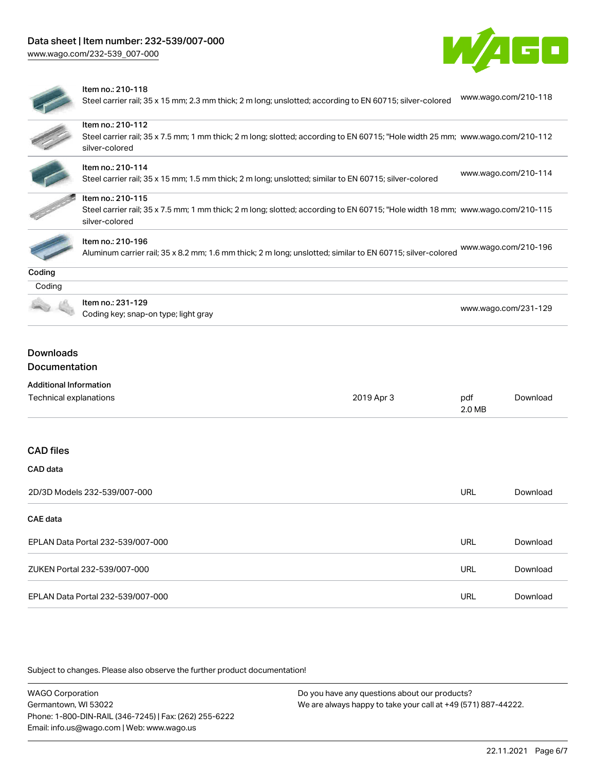



#### Item no.: 210-118

Steel carrier rail; 35 x 15 mm; 2.3 mm thick; 2 m long; unslotted; according to EN 60715; silver-colored [www.wago.com/210-118](http://www.wago.com/210-118)

|                                                                                                                                                                       | Item no.: 210-112<br>Steel carrier rail; 35 x 7.5 mm; 1 mm thick; 2 m long; slotted; according to EN 60715; "Hole width 25 mm; www.wago.com/210-112<br>silver-colored |               |                      |  |  |
|-----------------------------------------------------------------------------------------------------------------------------------------------------------------------|-----------------------------------------------------------------------------------------------------------------------------------------------------------------------|---------------|----------------------|--|--|
|                                                                                                                                                                       | Item no.: 210-114<br>Steel carrier rail; 35 x 15 mm; 1.5 mm thick; 2 m long; unslotted; similar to EN 60715; silver-colored                                           |               | www.wago.com/210-114 |  |  |
| Item no.: 210-115<br>Steel carrier rail; 35 x 7.5 mm; 1 mm thick; 2 m long; slotted; according to EN 60715; "Hole width 18 mm; www.wago.com/210-115<br>silver-colored |                                                                                                                                                                       |               |                      |  |  |
|                                                                                                                                                                       | Item no.: 210-196<br>Aluminum carrier rail; 35 x 8.2 mm; 1.6 mm thick; 2 m long; unslotted; similar to EN 60715; silver-colored                                       |               | www.wago.com/210-196 |  |  |
| Coding                                                                                                                                                                |                                                                                                                                                                       |               |                      |  |  |
| Coding                                                                                                                                                                |                                                                                                                                                                       |               |                      |  |  |
|                                                                                                                                                                       | Item no.: 231-129<br>Coding key; snap-on type; light gray                                                                                                             |               | www.wago.com/231-129 |  |  |
| <b>Downloads</b>                                                                                                                                                      |                                                                                                                                                                       |               |                      |  |  |
| Documentation                                                                                                                                                         |                                                                                                                                                                       |               |                      |  |  |
| <b>Additional Information</b>                                                                                                                                         |                                                                                                                                                                       |               |                      |  |  |
| Technical explanations                                                                                                                                                | 2019 Apr 3                                                                                                                                                            | pdf<br>2.0 MB | Download             |  |  |
| <b>CAD files</b>                                                                                                                                                      |                                                                                                                                                                       |               |                      |  |  |
| CAD data                                                                                                                                                              |                                                                                                                                                                       |               |                      |  |  |
|                                                                                                                                                                       | 2D/3D Models 232-539/007-000                                                                                                                                          | <b>URL</b>    | Download             |  |  |
| <b>CAE</b> data                                                                                                                                                       |                                                                                                                                                                       |               |                      |  |  |
|                                                                                                                                                                       | EPLAN Data Portal 232-539/007-000                                                                                                                                     | <b>URL</b>    | Download             |  |  |
|                                                                                                                                                                       | ZUKEN Portal 232-539/007-000                                                                                                                                          | <b>URL</b>    | Download             |  |  |
|                                                                                                                                                                       | EPLAN Data Portal 232-539/007-000                                                                                                                                     | <b>URL</b>    | Download             |  |  |

Subject to changes. Please also observe the further product documentation!

| <b>WAGO Corporation</b>                                | Do you have any questions about our products?                 |
|--------------------------------------------------------|---------------------------------------------------------------|
| Germantown, WI 53022                                   | We are always happy to take your call at +49 (571) 887-44222. |
| Phone: 1-800-DIN-RAIL (346-7245)   Fax: (262) 255-6222 |                                                               |
| Email: info.us@wago.com   Web: www.wago.us             |                                                               |